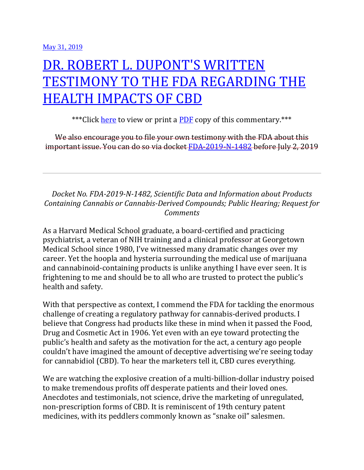## [DR. ROBERT L. DUPONT'S WRITTEN](https://www.ibhinc.org/blog/2019/5/31/robert-dupont-cbd-fda-testimony)  [TESTIMONY TO THE FDA REGARDING THE](https://www.ibhinc.org/blog/2019/5/31/robert-dupont-cbd-fda-testimony)  [HEALTH IMPACTS OF CBD](https://www.ibhinc.org/blog/2019/5/31/robert-dupont-cbd-fda-testimony)

\*\*\*Click [here](https://www.ibhinc.org/s/Robert-L-Dupont-Written-Testimony-to-FDA-re-CBD.pdf) to view or print a [PDF](https://www.ibhinc.org/s/Robert-L-Dupont-Written-Testimony-to-FDA-re-CBD.pdf) copy of this commentary.\*\*\*

We also encourage you to file your own testimony with the FDA about this important issue. You can do so via docket [FDA-2019-N-1482](https://www.regulations.gov/docket?D=FDA-2019-N-1482) before July 2, 2019

*Docket No. FDA-2019-N-1482, Scientific Data and Information about Products Containing Cannabis or Cannabis-Derived Compounds; Public Hearing; Request for Comments*

As a Harvard Medical School graduate, a board-certified and practicing psychiatrist, a veteran of NIH training and a clinical professor at Georgetown Medical School since 1980, I've witnessed many dramatic changes over my career. Yet the hoopla and hysteria surrounding the medical use of marijuana and cannabinoid-containing products is unlike anything I have ever seen. It is frightening to me and should be to all who are trusted to protect the public's health and safety.

With that perspective as context, I commend the FDA for tackling the enormous challenge of creating a regulatory pathway for cannabis-derived products. I believe that Congress had products like these in mind when it passed the Food, Drug and Cosmetic Act in 1906. Yet even with an eye toward protecting the public's health and safety as the motivation for the act, a century ago people couldn't have imagined the amount of deceptive advertising we're seeing today for cannabidiol (CBD). To hear the marketers tell it, CBD cures everything.

We are watching the explosive creation of a multi-billion-dollar industry poised to make tremendous profits off desperate patients and their loved ones. Anecdotes and testimonials, not science, drive the marketing of unregulated, non-prescription forms of CBD. It is reminiscent of 19th century patent medicines, with its peddlers commonly known as "snake oil" salesmen.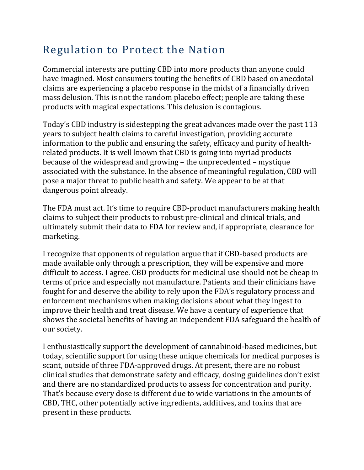## Regulation to Protect the Nation

Commercial interests are putting CBD into more products than anyone could have imagined. Most consumers touting the benefits of CBD based on anecdotal claims are experiencing a placebo response in the midst of a financially driven mass delusion. This is not the random placebo effect; people are taking these products with magical expectations. This delusion is contagious.

Today's CBD industry is sidestepping the great advances made over the past 113 years to subject health claims to careful investigation, providing accurate information to the public and ensuring the safety, efficacy and purity of healthrelated products. It is well known that CBD is going into myriad products because of the widespread and growing – the unprecedented – mystique associated with the substance. In the absence of meaningful regulation, CBD will pose a major threat to public health and safety. We appear to be at that dangerous point already.

The FDA must act. It's time to require CBD-product manufacturers making health claims to subject their products to robust pre-clinical and clinical trials, and ultimately submit their data to FDA for review and, if appropriate, clearance for marketing.

I recognize that opponents of regulation argue that if CBD-based products are made available only through a prescription, they will be expensive and more difficult to access. I agree. CBD products for medicinal use should not be cheap in terms of price and especially not manufacture. Patients and their clinicians have fought for and deserve the ability to rely upon the FDA's regulatory process and enforcement mechanisms when making decisions about what they ingest to improve their health and treat disease. We have a century of experience that shows the societal benefits of having an independent FDA safeguard the health of our society.

I enthusiastically support the development of cannabinoid-based medicines, but today, scientific support for using these unique chemicals for medical purposes is scant, outside of three FDA-approved drugs. At present, there are no robust clinical studies that demonstrate safety and efficacy, dosing guidelines don't exist and there are no standardized products to assess for concentration and purity. That's because every dose is different due to wide variations in the amounts of CBD, THC, other potentially active ingredients, additives, and toxins that are present in these products.